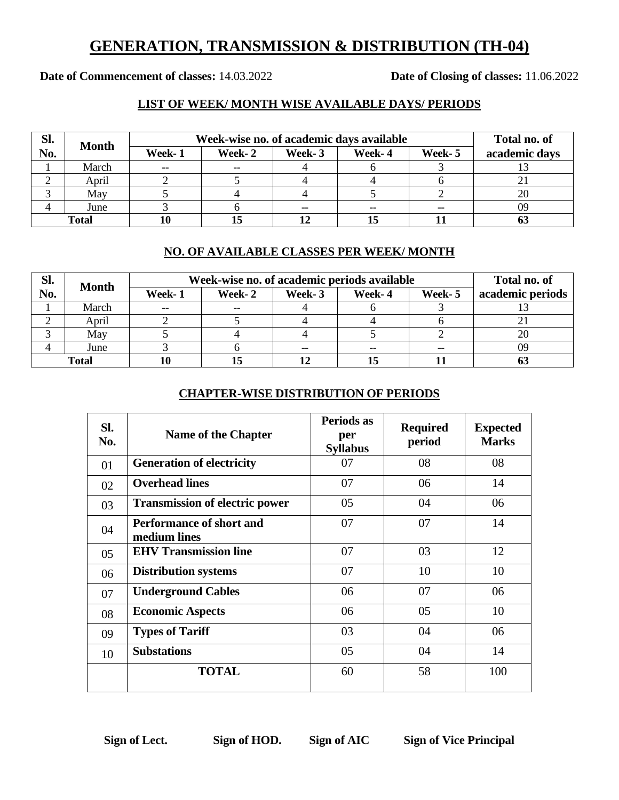## **GENERATION, TRANSMISSION & DISTRIBUTION (TH-04)**

**Date of Commencement of classes:** 14.03.2022 **Date of Closing of classes:** 11.06.2022

### **LIST OF WEEK/ MONTH WISE AVAILABLE DAYS/ PERIODS**

| SI.          | <b>Month</b> | Week-wise no. of academic days available | Total no. of |        |        |         |               |
|--------------|--------------|------------------------------------------|--------------|--------|--------|---------|---------------|
| No.          |              | Week-1                                   | Week-2       | Week-3 | Week-4 | Week- 5 | academic days |
|              | March        | $- -$                                    | $- -$        |        |        |         |               |
|              | April        |                                          |              |        |        |         |               |
|              | May          |                                          |              |        |        |         |               |
|              | June         |                                          |              |        |        | --      | 09            |
| <b>Total</b> |              |                                          |              |        |        |         |               |

#### **NO. OF AVAILABLE CLASSES PER WEEK/ MONTH**

| SI.   | <b>Month</b> | Week-wise no. of academic periods available | Total no. of |        |        |        |                  |
|-------|--------------|---------------------------------------------|--------------|--------|--------|--------|------------------|
| No.   |              | Week-1                                      | Week-2       | Week-3 | Week-4 | Week-5 | academic periods |
|       | March        | $- -$                                       | $- -$        |        |        |        |                  |
|       | April        |                                             |              |        |        |        |                  |
|       | May          |                                             |              |        |        |        | 20               |
|       | June         |                                             |              |        |        | --     | 09               |
| Total |              | 10                                          | 15           |        |        |        |                  |

#### **CHAPTER-WISE DISTRIBUTION OF PERIODS**

| Sl.<br>No. | <b>Name of the Chapter</b>                      | Periods as<br>per<br><b>Syllabus</b> | <b>Required</b><br>period | <b>Expected</b><br><b>Marks</b> |
|------------|-------------------------------------------------|--------------------------------------|---------------------------|---------------------------------|
| 01         | <b>Generation of electricity</b>                | 07                                   | 08                        | 08                              |
| 02         | <b>Overhead lines</b>                           | 07                                   | 06                        | 14                              |
| 03         | <b>Transmission of electric power</b>           | 05                                   | 04                        | 06                              |
| 04         | <b>Performance of short and</b><br>medium lines | 07                                   | 07                        | 14                              |
| 05         | <b>EHV Transmission line</b>                    | 07                                   | 03                        | 12                              |
| 06         | <b>Distribution systems</b>                     | 07                                   | 10                        | 10                              |
| 07         | <b>Underground Cables</b>                       | 06                                   | 07                        | 06                              |
| 08         | <b>Economic Aspects</b>                         | 06                                   | 05                        | 10                              |
| 09         | <b>Types of Tariff</b>                          | 03                                   | 04                        | 06                              |
| 10         | <b>Substations</b>                              | 05                                   | 04                        | 14                              |
|            | <b>TOTAL</b>                                    | 60                                   | 58                        | 100                             |

**Sign of Lect. Sign of HOD. Sign of AIC Sign of Vice Principal**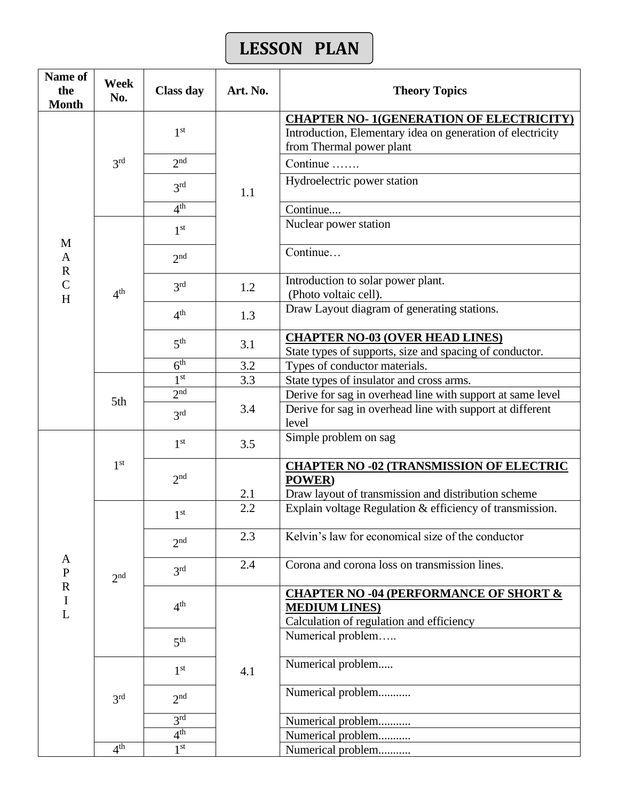# **LESSON PLAN**

| <b>CHAPTER NO-1(GENERATION OF ELECTRICITY)</b><br>1 <sup>st</sup><br>Introduction, Elementary idea on generation of electricity<br>from Thermal power plant<br>2 <sup>nd</sup><br>3 <sup>rd</sup><br>Continue<br>Hydroelectric power station<br>3 <sup>rd</sup><br>1.1<br>4 <sup>th</sup><br>Continue<br>Nuclear power station<br>1 <sup>st</sup><br>M<br>Continue<br>$\mathbf{A}$<br>2 <sub>nd</sub><br>$\overline{\text{R}}$<br>Introduction to solar power plant.<br>$\overline{C}$<br>3 <sup>rd</sup><br>1.2<br>4 <sup>th</sup><br>(Photo voltaic cell).<br>H<br>Draw Layout diagram of generating stations.<br>4 <sup>th</sup><br>1.3<br><b>CHAPTER NO-03 (OVER HEAD LINES)</b><br>5 <sup>th</sup><br>3.1<br>State types of supports, size and spacing of conductor.<br>$\overline{6^{th}}$<br>Types of conductor materials.<br>3.2<br>1 <sup>st</sup><br>3.3<br>State types of insulator and cross arms.<br>2 <sub>nd</sub><br>Derive for sag in overhead line with support at same level<br>5th<br>3.4<br>Derive for sag in overhead line with support at different<br>3 <sup>rd</sup><br>level<br>Simple problem on sag<br>1 <sup>st</sup><br>3.5<br>1 <sup>st</sup><br><b>CHAPTER NO -02 (TRANSMISSION OF ELECTRIC</b><br>2 <sub>nd</sub><br><b>POWER</b> )<br>2.1<br>Draw layout of transmission and distribution scheme<br>2.2<br>Explain voltage Regulation & efficiency of transmission.<br>1 <sup>st</sup><br>Kelvin's law for economical size of the conductor<br>2.3<br>2 <sub>nd</sub><br>A<br>Corona and corona loss on transmission lines.<br>2.4<br>3 <sup>rd</sup><br>${\bf P}$<br>2 <sup>nd</sup><br>$\overline{\text{R}}$<br><b>CHAPTER NO -04 (PERFORMANCE OF SHORT &amp;</b><br>$\bf I$<br>4 <sup>th</sup><br><b>MEDIUM LINES)</b><br>L<br>Calculation of regulation and efficiency<br>Numerical problem<br>5 <sup>th</sup><br>Numerical problem<br>1 <sup>st</sup><br>4.1<br>Numerical problem<br>2 <sub>nd</sub><br>3 <sup>rd</sup><br>3 <sup>rd</sup><br>Numerical problem<br>4 <sup>th</sup><br>Numerical problem<br>4 <sup>th</sup><br>$1^{\rm st}$ | Name of<br>the<br><b>Month</b> | Week<br>No. | <b>Class day</b> | Art. No. | <b>Theory Topics</b> |  |
|-----------------------------------------------------------------------------------------------------------------------------------------------------------------------------------------------------------------------------------------------------------------------------------------------------------------------------------------------------------------------------------------------------------------------------------------------------------------------------------------------------------------------------------------------------------------------------------------------------------------------------------------------------------------------------------------------------------------------------------------------------------------------------------------------------------------------------------------------------------------------------------------------------------------------------------------------------------------------------------------------------------------------------------------------------------------------------------------------------------------------------------------------------------------------------------------------------------------------------------------------------------------------------------------------------------------------------------------------------------------------------------------------------------------------------------------------------------------------------------------------------------------------------------------------------------------------------------------------------------------------------------------------------------------------------------------------------------------------------------------------------------------------------------------------------------------------------------------------------------------------------------------------------------------------------------------------------------------------------------------------------------------------------------------------------------------------------------|--------------------------------|-------------|------------------|----------|----------------------|--|
|                                                                                                                                                                                                                                                                                                                                                                                                                                                                                                                                                                                                                                                                                                                                                                                                                                                                                                                                                                                                                                                                                                                                                                                                                                                                                                                                                                                                                                                                                                                                                                                                                                                                                                                                                                                                                                                                                                                                                                                                                                                                                   |                                |             |                  |          |                      |  |
|                                                                                                                                                                                                                                                                                                                                                                                                                                                                                                                                                                                                                                                                                                                                                                                                                                                                                                                                                                                                                                                                                                                                                                                                                                                                                                                                                                                                                                                                                                                                                                                                                                                                                                                                                                                                                                                                                                                                                                                                                                                                                   |                                |             |                  |          |                      |  |
|                                                                                                                                                                                                                                                                                                                                                                                                                                                                                                                                                                                                                                                                                                                                                                                                                                                                                                                                                                                                                                                                                                                                                                                                                                                                                                                                                                                                                                                                                                                                                                                                                                                                                                                                                                                                                                                                                                                                                                                                                                                                                   |                                |             |                  |          |                      |  |
|                                                                                                                                                                                                                                                                                                                                                                                                                                                                                                                                                                                                                                                                                                                                                                                                                                                                                                                                                                                                                                                                                                                                                                                                                                                                                                                                                                                                                                                                                                                                                                                                                                                                                                                                                                                                                                                                                                                                                                                                                                                                                   |                                |             |                  |          |                      |  |
|                                                                                                                                                                                                                                                                                                                                                                                                                                                                                                                                                                                                                                                                                                                                                                                                                                                                                                                                                                                                                                                                                                                                                                                                                                                                                                                                                                                                                                                                                                                                                                                                                                                                                                                                                                                                                                                                                                                                                                                                                                                                                   |                                |             |                  |          |                      |  |
|                                                                                                                                                                                                                                                                                                                                                                                                                                                                                                                                                                                                                                                                                                                                                                                                                                                                                                                                                                                                                                                                                                                                                                                                                                                                                                                                                                                                                                                                                                                                                                                                                                                                                                                                                                                                                                                                                                                                                                                                                                                                                   |                                |             |                  |          |                      |  |
|                                                                                                                                                                                                                                                                                                                                                                                                                                                                                                                                                                                                                                                                                                                                                                                                                                                                                                                                                                                                                                                                                                                                                                                                                                                                                                                                                                                                                                                                                                                                                                                                                                                                                                                                                                                                                                                                                                                                                                                                                                                                                   |                                |             |                  |          |                      |  |
|                                                                                                                                                                                                                                                                                                                                                                                                                                                                                                                                                                                                                                                                                                                                                                                                                                                                                                                                                                                                                                                                                                                                                                                                                                                                                                                                                                                                                                                                                                                                                                                                                                                                                                                                                                                                                                                                                                                                                                                                                                                                                   |                                |             |                  |          |                      |  |
|                                                                                                                                                                                                                                                                                                                                                                                                                                                                                                                                                                                                                                                                                                                                                                                                                                                                                                                                                                                                                                                                                                                                                                                                                                                                                                                                                                                                                                                                                                                                                                                                                                                                                                                                                                                                                                                                                                                                                                                                                                                                                   |                                |             |                  |          |                      |  |
|                                                                                                                                                                                                                                                                                                                                                                                                                                                                                                                                                                                                                                                                                                                                                                                                                                                                                                                                                                                                                                                                                                                                                                                                                                                                                                                                                                                                                                                                                                                                                                                                                                                                                                                                                                                                                                                                                                                                                                                                                                                                                   |                                |             |                  |          |                      |  |
|                                                                                                                                                                                                                                                                                                                                                                                                                                                                                                                                                                                                                                                                                                                                                                                                                                                                                                                                                                                                                                                                                                                                                                                                                                                                                                                                                                                                                                                                                                                                                                                                                                                                                                                                                                                                                                                                                                                                                                                                                                                                                   |                                |             |                  |          |                      |  |
|                                                                                                                                                                                                                                                                                                                                                                                                                                                                                                                                                                                                                                                                                                                                                                                                                                                                                                                                                                                                                                                                                                                                                                                                                                                                                                                                                                                                                                                                                                                                                                                                                                                                                                                                                                                                                                                                                                                                                                                                                                                                                   |                                |             |                  |          |                      |  |
|                                                                                                                                                                                                                                                                                                                                                                                                                                                                                                                                                                                                                                                                                                                                                                                                                                                                                                                                                                                                                                                                                                                                                                                                                                                                                                                                                                                                                                                                                                                                                                                                                                                                                                                                                                                                                                                                                                                                                                                                                                                                                   |                                |             |                  |          |                      |  |
|                                                                                                                                                                                                                                                                                                                                                                                                                                                                                                                                                                                                                                                                                                                                                                                                                                                                                                                                                                                                                                                                                                                                                                                                                                                                                                                                                                                                                                                                                                                                                                                                                                                                                                                                                                                                                                                                                                                                                                                                                                                                                   |                                |             |                  |          |                      |  |
|                                                                                                                                                                                                                                                                                                                                                                                                                                                                                                                                                                                                                                                                                                                                                                                                                                                                                                                                                                                                                                                                                                                                                                                                                                                                                                                                                                                                                                                                                                                                                                                                                                                                                                                                                                                                                                                                                                                                                                                                                                                                                   |                                |             |                  |          |                      |  |
|                                                                                                                                                                                                                                                                                                                                                                                                                                                                                                                                                                                                                                                                                                                                                                                                                                                                                                                                                                                                                                                                                                                                                                                                                                                                                                                                                                                                                                                                                                                                                                                                                                                                                                                                                                                                                                                                                                                                                                                                                                                                                   |                                |             |                  |          |                      |  |
|                                                                                                                                                                                                                                                                                                                                                                                                                                                                                                                                                                                                                                                                                                                                                                                                                                                                                                                                                                                                                                                                                                                                                                                                                                                                                                                                                                                                                                                                                                                                                                                                                                                                                                                                                                                                                                                                                                                                                                                                                                                                                   |                                |             |                  |          |                      |  |
|                                                                                                                                                                                                                                                                                                                                                                                                                                                                                                                                                                                                                                                                                                                                                                                                                                                                                                                                                                                                                                                                                                                                                                                                                                                                                                                                                                                                                                                                                                                                                                                                                                                                                                                                                                                                                                                                                                                                                                                                                                                                                   |                                |             |                  |          |                      |  |
|                                                                                                                                                                                                                                                                                                                                                                                                                                                                                                                                                                                                                                                                                                                                                                                                                                                                                                                                                                                                                                                                                                                                                                                                                                                                                                                                                                                                                                                                                                                                                                                                                                                                                                                                                                                                                                                                                                                                                                                                                                                                                   |                                |             |                  |          |                      |  |
|                                                                                                                                                                                                                                                                                                                                                                                                                                                                                                                                                                                                                                                                                                                                                                                                                                                                                                                                                                                                                                                                                                                                                                                                                                                                                                                                                                                                                                                                                                                                                                                                                                                                                                                                                                                                                                                                                                                                                                                                                                                                                   |                                |             |                  |          |                      |  |
|                                                                                                                                                                                                                                                                                                                                                                                                                                                                                                                                                                                                                                                                                                                                                                                                                                                                                                                                                                                                                                                                                                                                                                                                                                                                                                                                                                                                                                                                                                                                                                                                                                                                                                                                                                                                                                                                                                                                                                                                                                                                                   |                                |             |                  |          |                      |  |
|                                                                                                                                                                                                                                                                                                                                                                                                                                                                                                                                                                                                                                                                                                                                                                                                                                                                                                                                                                                                                                                                                                                                                                                                                                                                                                                                                                                                                                                                                                                                                                                                                                                                                                                                                                                                                                                                                                                                                                                                                                                                                   |                                |             |                  |          |                      |  |
|                                                                                                                                                                                                                                                                                                                                                                                                                                                                                                                                                                                                                                                                                                                                                                                                                                                                                                                                                                                                                                                                                                                                                                                                                                                                                                                                                                                                                                                                                                                                                                                                                                                                                                                                                                                                                                                                                                                                                                                                                                                                                   |                                |             |                  |          |                      |  |
|                                                                                                                                                                                                                                                                                                                                                                                                                                                                                                                                                                                                                                                                                                                                                                                                                                                                                                                                                                                                                                                                                                                                                                                                                                                                                                                                                                                                                                                                                                                                                                                                                                                                                                                                                                                                                                                                                                                                                                                                                                                                                   |                                |             |                  |          |                      |  |
|                                                                                                                                                                                                                                                                                                                                                                                                                                                                                                                                                                                                                                                                                                                                                                                                                                                                                                                                                                                                                                                                                                                                                                                                                                                                                                                                                                                                                                                                                                                                                                                                                                                                                                                                                                                                                                                                                                                                                                                                                                                                                   |                                |             |                  |          |                      |  |
|                                                                                                                                                                                                                                                                                                                                                                                                                                                                                                                                                                                                                                                                                                                                                                                                                                                                                                                                                                                                                                                                                                                                                                                                                                                                                                                                                                                                                                                                                                                                                                                                                                                                                                                                                                                                                                                                                                                                                                                                                                                                                   |                                |             |                  |          |                      |  |
|                                                                                                                                                                                                                                                                                                                                                                                                                                                                                                                                                                                                                                                                                                                                                                                                                                                                                                                                                                                                                                                                                                                                                                                                                                                                                                                                                                                                                                                                                                                                                                                                                                                                                                                                                                                                                                                                                                                                                                                                                                                                                   |                                |             |                  |          |                      |  |
|                                                                                                                                                                                                                                                                                                                                                                                                                                                                                                                                                                                                                                                                                                                                                                                                                                                                                                                                                                                                                                                                                                                                                                                                                                                                                                                                                                                                                                                                                                                                                                                                                                                                                                                                                                                                                                                                                                                                                                                                                                                                                   |                                |             |                  |          |                      |  |
|                                                                                                                                                                                                                                                                                                                                                                                                                                                                                                                                                                                                                                                                                                                                                                                                                                                                                                                                                                                                                                                                                                                                                                                                                                                                                                                                                                                                                                                                                                                                                                                                                                                                                                                                                                                                                                                                                                                                                                                                                                                                                   |                                |             |                  |          |                      |  |
|                                                                                                                                                                                                                                                                                                                                                                                                                                                                                                                                                                                                                                                                                                                                                                                                                                                                                                                                                                                                                                                                                                                                                                                                                                                                                                                                                                                                                                                                                                                                                                                                                                                                                                                                                                                                                                                                                                                                                                                                                                                                                   |                                |             |                  |          |                      |  |
|                                                                                                                                                                                                                                                                                                                                                                                                                                                                                                                                                                                                                                                                                                                                                                                                                                                                                                                                                                                                                                                                                                                                                                                                                                                                                                                                                                                                                                                                                                                                                                                                                                                                                                                                                                                                                                                                                                                                                                                                                                                                                   |                                |             |                  |          |                      |  |
|                                                                                                                                                                                                                                                                                                                                                                                                                                                                                                                                                                                                                                                                                                                                                                                                                                                                                                                                                                                                                                                                                                                                                                                                                                                                                                                                                                                                                                                                                                                                                                                                                                                                                                                                                                                                                                                                                                                                                                                                                                                                                   |                                |             |                  |          |                      |  |
|                                                                                                                                                                                                                                                                                                                                                                                                                                                                                                                                                                                                                                                                                                                                                                                                                                                                                                                                                                                                                                                                                                                                                                                                                                                                                                                                                                                                                                                                                                                                                                                                                                                                                                                                                                                                                                                                                                                                                                                                                                                                                   |                                |             |                  |          |                      |  |
|                                                                                                                                                                                                                                                                                                                                                                                                                                                                                                                                                                                                                                                                                                                                                                                                                                                                                                                                                                                                                                                                                                                                                                                                                                                                                                                                                                                                                                                                                                                                                                                                                                                                                                                                                                                                                                                                                                                                                                                                                                                                                   |                                |             |                  |          |                      |  |
|                                                                                                                                                                                                                                                                                                                                                                                                                                                                                                                                                                                                                                                                                                                                                                                                                                                                                                                                                                                                                                                                                                                                                                                                                                                                                                                                                                                                                                                                                                                                                                                                                                                                                                                                                                                                                                                                                                                                                                                                                                                                                   |                                |             |                  |          |                      |  |
|                                                                                                                                                                                                                                                                                                                                                                                                                                                                                                                                                                                                                                                                                                                                                                                                                                                                                                                                                                                                                                                                                                                                                                                                                                                                                                                                                                                                                                                                                                                                                                                                                                                                                                                                                                                                                                                                                                                                                                                                                                                                                   |                                |             |                  |          |                      |  |
|                                                                                                                                                                                                                                                                                                                                                                                                                                                                                                                                                                                                                                                                                                                                                                                                                                                                                                                                                                                                                                                                                                                                                                                                                                                                                                                                                                                                                                                                                                                                                                                                                                                                                                                                                                                                                                                                                                                                                                                                                                                                                   |                                |             |                  |          | Numerical problem    |  |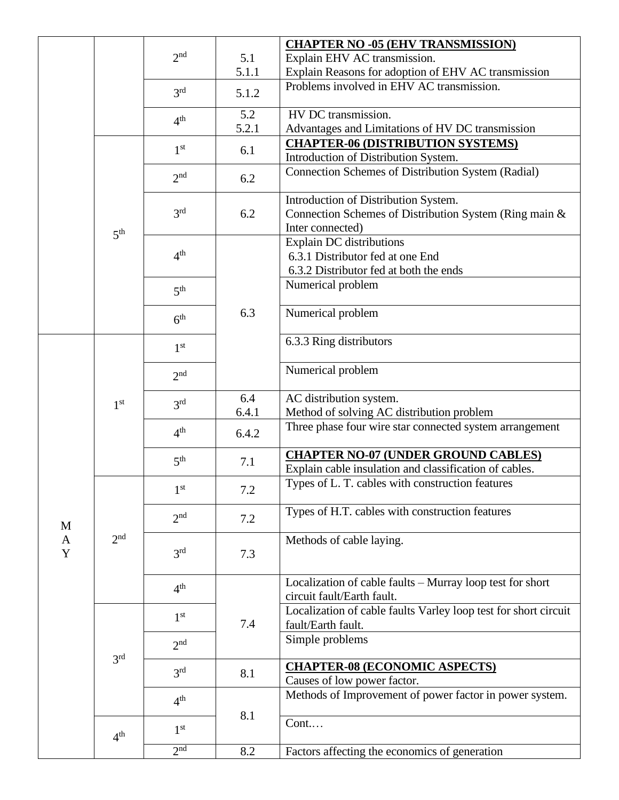|             |                 |                     |       | <b>CHAPTER NO -05 (EHV TRANSMISSION)</b>                        |
|-------------|-----------------|---------------------|-------|-----------------------------------------------------------------|
|             |                 | 2 <sup>nd</sup>     | 5.1   | Explain EHV AC transmission.                                    |
|             |                 |                     | 5.1.1 | Explain Reasons for adoption of EHV AC transmission             |
|             |                 |                     |       | Problems involved in EHV AC transmission.                       |
|             |                 | 3 <sup>rd</sup>     | 5.1.2 |                                                                 |
|             |                 | 4 <sup>th</sup>     | 5.2   | HV DC transmission.                                             |
|             |                 |                     | 5.2.1 | Advantages and Limitations of HV DC transmission                |
|             |                 |                     |       | <b>CHAPTER-06 (DISTRIBUTION SYSTEMS)</b>                        |
|             |                 | 1 <sup>st</sup>     | 6.1   | Introduction of Distribution System.                            |
|             |                 | 2 <sup>nd</sup>     | 6.2   | Connection Schemes of Distribution System (Radial)              |
|             |                 |                     |       | Introduction of Distribution System.                            |
|             |                 | 3 <sup>rd</sup>     | 6.2   | Connection Schemes of Distribution System (Ring main &          |
|             |                 |                     |       | Inter connected)                                                |
|             | 5 <sup>th</sup> |                     |       | Explain DC distributions                                        |
|             |                 | 4 <sup>th</sup>     |       | 6.3.1 Distributor fed at one End                                |
|             |                 |                     |       | 6.3.2 Distributor fed at both the ends                          |
|             |                 |                     |       | Numerical problem                                               |
|             |                 | 5 <sup>th</sup>     |       |                                                                 |
|             |                 |                     | 6.3   | Numerical problem                                               |
|             |                 | 6 <sup>th</sup>     |       |                                                                 |
|             |                 |                     |       | 6.3.3 Ring distributors                                         |
|             |                 | 1 <sup>st</sup>     |       |                                                                 |
|             |                 | 2 <sup>nd</sup>     |       | Numerical problem                                               |
|             |                 |                     |       |                                                                 |
|             |                 |                     | 6.4   | AC distribution system.                                         |
|             | 1 <sup>st</sup> | 3 <sup>rd</sup>     |       |                                                                 |
|             |                 |                     | 6.4.1 | Method of solving AC distribution problem                       |
|             |                 | 4 <sup>th</sup>     | 6.4.2 | Three phase four wire star connected system arrangement         |
|             |                 |                     | 7.1   | <b>CHAPTER NO-07 (UNDER GROUND CABLES)</b>                      |
|             |                 | 5 <sup>th</sup>     |       | Explain cable insulation and classification of cables.          |
|             |                 |                     |       | Types of L. T. cables with construction features                |
|             |                 | 1 <sup>st</sup>     | 7.2   |                                                                 |
|             |                 |                     |       | Types of H.T. cables with construction features                 |
| M           |                 | 2 <sup>nd</sup>     | 7.2   |                                                                 |
| $\mathbf A$ | 2 <sup>nd</sup> |                     |       | Methods of cable laying.                                        |
| Y           |                 | 3 <sup>rd</sup>     | 7.3   |                                                                 |
|             |                 |                     |       |                                                                 |
|             |                 |                     |       | Localization of cable faults - Murray loop test for short       |
|             |                 | 4 <sup>th</sup>     |       | circuit fault/Earth fault.                                      |
|             |                 |                     |       | Localization of cable faults Varley loop test for short circuit |
|             |                 | 1 <sup>st</sup>     | 7.4   | fault/Earth fault.                                              |
|             |                 |                     |       |                                                                 |
|             |                 | 2 <sup>nd</sup>     |       | Simple problems                                                 |
|             | 3 <sup>rd</sup> | 3 <sup>rd</sup>     |       |                                                                 |
|             |                 |                     | 8.1   | <b>CHAPTER-08 (ECONOMIC ASPECTS)</b>                            |
|             |                 |                     |       | Causes of low power factor.                                     |
|             |                 | 4 <sup>th</sup>     |       | Methods of Improvement of power factor in power system.         |
|             |                 |                     | 8.1   |                                                                 |
|             | 4 <sup>th</sup> | 1 <sup>st</sup>     |       | Cont                                                            |
|             |                 |                     |       |                                                                 |
|             |                 | $2^{n\overline{d}}$ | 8.2   | Factors affecting the economics of generation                   |